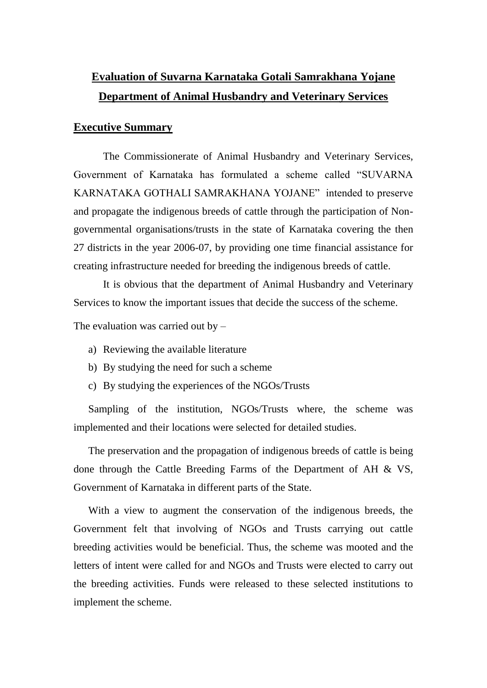# **Evaluation of Suvarna Karnataka Gotali Samrakhana Yojane Department of Animal Husbandry and Veterinary Services**

#### **Executive Summary**

The Commissionerate of Animal Husbandry and Veterinary Services, Government of Karnataka has formulated a scheme called "SUVARNA KARNATAKA GOTHALI SAMRAKHANA YOJANE" intended to preserve and propagate the indigenous breeds of cattle through the participation of Nongovernmental organisations/trusts in the state of Karnataka covering the then 27 districts in the year 2006-07, by providing one time financial assistance for creating infrastructure needed for breeding the indigenous breeds of cattle.

It is obvious that the department of Animal Husbandry and Veterinary Services to know the important issues that decide the success of the scheme.

The evaluation was carried out by  $-$ 

- a) Reviewing the available literature
- b) By studying the need for such a scheme
- c) By studying the experiences of the NGOs/Trusts

Sampling of the institution, NGOs/Trusts where, the scheme was implemented and their locations were selected for detailed studies.

The preservation and the propagation of indigenous breeds of cattle is being done through the Cattle Breeding Farms of the Department of AH & VS, Government of Karnataka in different parts of the State.

With a view to augment the conservation of the indigenous breeds, the Government felt that involving of NGOs and Trusts carrying out cattle breeding activities would be beneficial. Thus, the scheme was mooted and the letters of intent were called for and NGOs and Trusts were elected to carry out the breeding activities. Funds were released to these selected institutions to implement the scheme.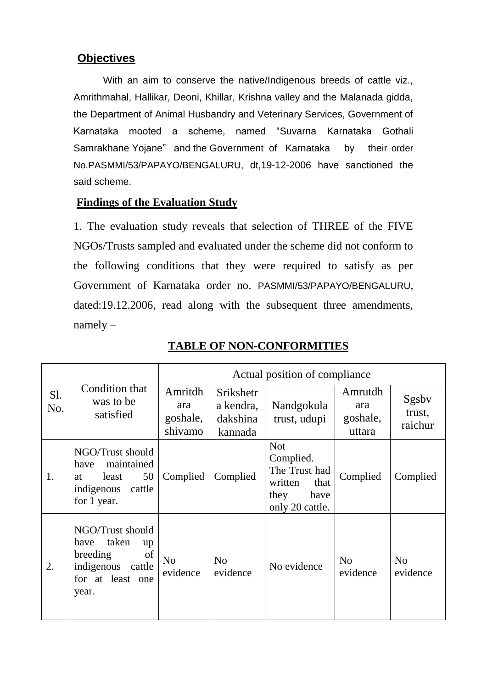## **Objectives**

With an aim to conserve the native/Indigenous breeds of cattle viz., Amrithmahal, Hallikar, Deoni, Khillar, Krishna valley and the Malanada gidda, the Department of Animal Husbandry and Veterinary Services, Government of Karnataka mooted a scheme, named "Suvarna Karnataka Gothali Samrakhane Yojane" and the Government of Karnataka by their order No.PASMMI/53/PAPAYO/BENGALURU, dt,19-12-2006 have sanctioned the said scheme.

### **Findings of the Evaluation Study**

1. The evaluation study reveals that selection of THREE of the FIVE NGOs/Trusts sampled and evaluated under the scheme did not conform to the following conditions that they were required to satisfy as per Government of Karnataka order no. PASMMI/53/PAPAYO/BENGALURU, dated:19.12.2006, read along with the subsequent three amendments, namely –

| S1.<br>No. | Condition that<br>was to be<br>satisfied                                                                       | Actual position of compliance         |                                                      |                                                                                                |                                      |                            |  |
|------------|----------------------------------------------------------------------------------------------------------------|---------------------------------------|------------------------------------------------------|------------------------------------------------------------------------------------------------|--------------------------------------|----------------------------|--|
|            |                                                                                                                | Amritdh<br>ara<br>goshale,<br>shivamo | <b>Srikshetr</b><br>a kendra,<br>dakshina<br>kannada | Nandgokula<br>trust, udupi                                                                     | Amrutdh<br>ara<br>goshale,<br>uttara | Sgsby<br>trust,<br>raichur |  |
| 1.         | NGO/Trust should<br>maintained<br>have<br>50<br>least<br>at<br>indigenous<br>cattle<br>for 1 year.             | Complied                              | Complied                                             | <b>Not</b><br>Complied.<br>The Trust had<br>written<br>that<br>they<br>have<br>only 20 cattle. | Complied                             | Complied                   |  |
| 2.         | NGO/Trust should<br>taken<br>have<br>up<br>breeding<br>of<br>indigenous<br>cattle<br>for at least one<br>year. | N <sub>o</sub><br>evidence            | N <sub>o</sub><br>evidence                           | No evidence                                                                                    | N <sub>o</sub><br>evidence           | N <sub>o</sub><br>evidence |  |

#### **TABLE OF NON-CONFORMITIES**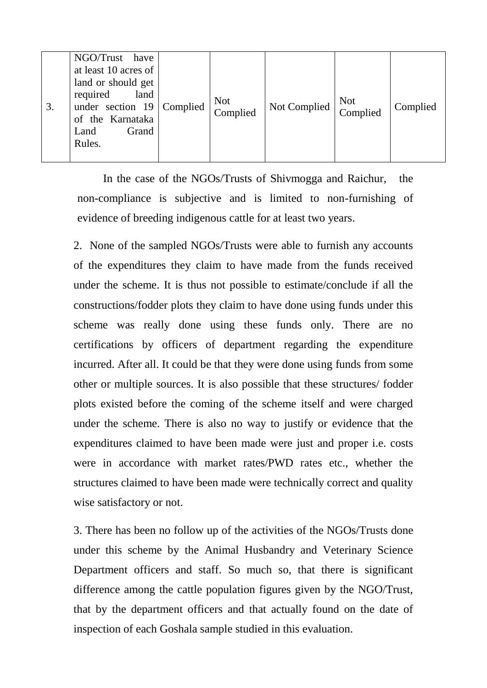| 3. | NGO/Trust have<br>at least 10 acres of<br>land or should get<br>required<br>land<br>under section $19$ Complied<br>of the Karnataka<br>Grand<br>Land<br>Rules. |  | <b>Not</b><br>Complied | Not Complied | Not<br>Complied | Complied |
|----|----------------------------------------------------------------------------------------------------------------------------------------------------------------|--|------------------------|--------------|-----------------|----------|
|----|----------------------------------------------------------------------------------------------------------------------------------------------------------------|--|------------------------|--------------|-----------------|----------|

In the case of the NGOs/Trusts of Shivmogga and Raichur, the non-compliance is subjective and is limited to non-furnishing of evidence of breeding indigenous cattle for at least two years.

2. None of the sampled NGOs/Trusts were able to furnish any accounts of the expenditures they claim to have made from the funds received under the scheme. It is thus not possible to estimate/conclude if all the constructions/fodder plots they claim to have done using funds under this scheme was really done using these funds only. There are no certifications by officers of department regarding the expenditure incurred. After all. It could be that they were done using funds from some other or multiple sources. It is also possible that these structures/ fodder plots existed before the coming of the scheme itself and were charged under the scheme. There is also no way to justify or evidence that the expenditures claimed to have been made were just and proper i.e. costs were in accordance with market rates/PWD rates etc., whether the structures claimed to have been made were technically correct and quality wise satisfactory or not.

3. There has been no follow up of the activities of the NGOs/Trusts done under this scheme by the Animal Husbandry and Veterinary Science Department officers and staff. So much so, that there is significant difference among the cattle population figures given by the NGO/Trust, that by the department officers and that actually found on the date of inspection of each Goshala sample studied in this evaluation.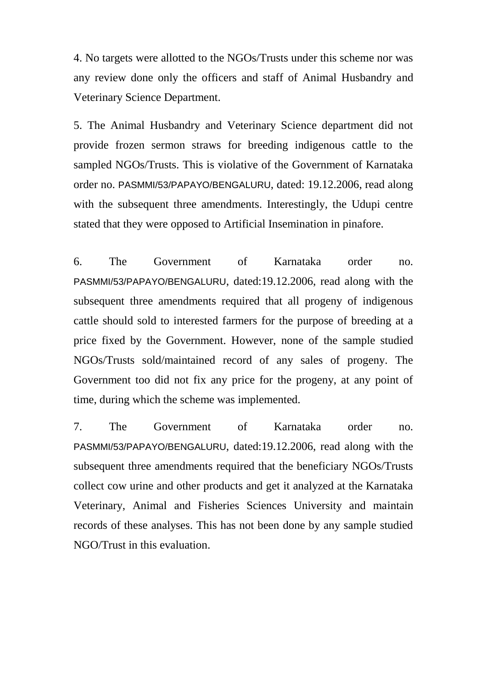4. No targets were allotted to the NGOs/Trusts under this scheme nor was any review done only the officers and staff of Animal Husbandry and Veterinary Science Department.

5. The Animal Husbandry and Veterinary Science department did not provide frozen sermon straws for breeding indigenous cattle to the sampled NGOs/Trusts. This is violative of the Government of Karnataka order no. PASMMI/53/PAPAYO/BENGALURU, dated: 19.12.2006, read along with the subsequent three amendments. Interestingly, the Udupi centre stated that they were opposed to Artificial Insemination in pinafore.

6. The Government of Karnataka order no. PASMMI/53/PAPAYO/BENGALURU, dated:19.12.2006, read along with the subsequent three amendments required that all progeny of indigenous cattle should sold to interested farmers for the purpose of breeding at a price fixed by the Government. However, none of the sample studied NGOs/Trusts sold/maintained record of any sales of progeny. The Government too did not fix any price for the progeny, at any point of time, during which the scheme was implemented.

7. The Government of Karnataka order no. PASMMI/53/PAPAYO/BENGALURU, dated:19.12.2006, read along with the subsequent three amendments required that the beneficiary NGOs/Trusts collect cow urine and other products and get it analyzed at the Karnataka Veterinary, Animal and Fisheries Sciences University and maintain records of these analyses. This has not been done by any sample studied NGO/Trust in this evaluation.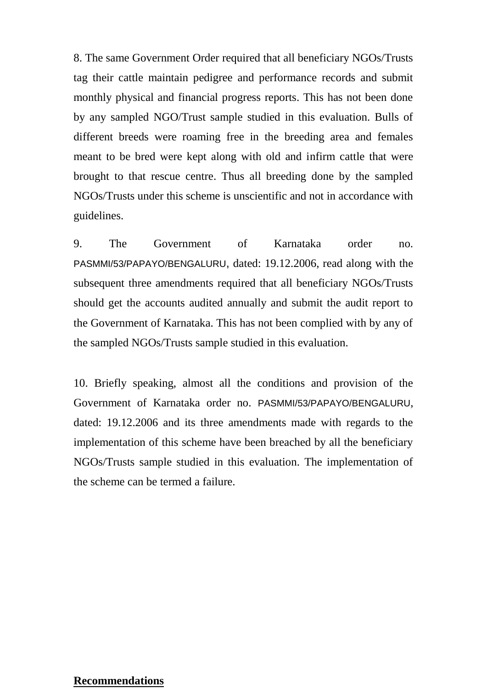8. The same Government Order required that all beneficiary NGOs/Trusts tag their cattle maintain pedigree and performance records and submit monthly physical and financial progress reports. This has not been done by any sampled NGO/Trust sample studied in this evaluation. Bulls of different breeds were roaming free in the breeding area and females meant to be bred were kept along with old and infirm cattle that were brought to that rescue centre. Thus all breeding done by the sampled NGOs/Trusts under this scheme is unscientific and not in accordance with guidelines.

9. The Government of Karnataka order no. PASMMI/53/PAPAYO/BENGALURU, dated: 19.12.2006, read along with the subsequent three amendments required that all beneficiary NGOs/Trusts should get the accounts audited annually and submit the audit report to the Government of Karnataka. This has not been complied with by any of the sampled NGOs/Trusts sample studied in this evaluation.

10. Briefly speaking, almost all the conditions and provision of the Government of Karnataka order no. PASMMI/53/PAPAYO/BENGALURU, dated: 19.12.2006 and its three amendments made with regards to the implementation of this scheme have been breached by all the beneficiary NGOs/Trusts sample studied in this evaluation. The implementation of the scheme can be termed a failure.

#### **Recommendations**